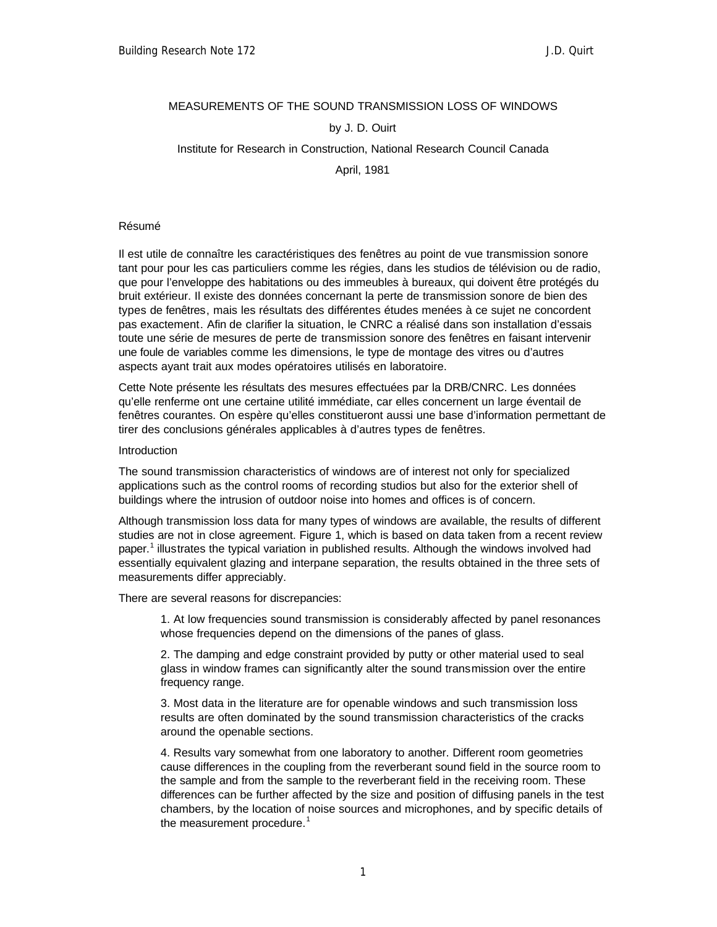### MEASUREMENTS OF THE SOUND TRANSMISSION LOSS OF WINDOWS

### by J. D. Ouirt

# Institute for Research in Construction, National Research Council Canada

April, 1981

### Résumé

Il est utile de connaître les caractéristiques des fenêtres au point de vue transmission sonore tant pour pour les cas particuliers comme les régies, dans les studios de télévision ou de radio, que pour l'enveloppe des habitations ou des immeubles à bureaux, qui doivent être protégés du bruit extérieur. Il existe des données concernant la perte de transmission sonore de bien des types de fenêtres, mais les résultats des différentes études menées à ce sujet ne concordent pas exactement. Afin de clarifier la situation, le CNRC a réalisé dans son installation d'essais toute une série de mesures de perte de transmission sonore des fenêtres en faisant intervenir une foule de variables comme les dimensions, le type de montage des vitres ou d'autres aspects ayant trait aux modes opératoires utilisés en laboratoire.

Cette Note présente les résultats des mesures effectuées par la DRB/CNRC. Les données qu'elle renferme ont une certaine utilité immédiate, car elles concernent un large éventail de fenêtres courantes. On espère qu'elles constitueront aussi une base d'information permettant de tirer des conclusions générales applicables à d'autres types de fenêtres.

#### Introduction

The sound transmission characteristics of windows are of interest not only for specialized applications such as the control rooms of recording studios but also for the exterior shell of buildings where the intrusion of outdoor noise into homes and offices is of concern.

Although transmission loss data for many types of windows are available, the results of different studies are not in close agreement. Figure 1, which is based on data taken from a recent review paper.<sup>1</sup> illustrates the typical variation in published results. Although the windows involved had essentially equivalent glazing and interpane separation, the results obtained in the three sets of measurements differ appreciably.

There are several reasons for discrepancies:

1. At low frequencies sound transmission is considerably affected by panel resonances whose frequencies depend on the dimensions of the panes of glass.

2. The damping and edge constraint provided by putty or other material used to seal glass in window frames can significantly alter the sound transmission over the entire frequency range.

3. Most data in the literature are for openable windows and such transmission loss results are often dominated by the sound transmission characteristics of the cracks around the openable sections.

4. Results vary somewhat from one laboratory to another. Different room geometries cause differences in the coupling from the reverberant sound field in the source room to the sample and from the sample to the reverberant field in the receiving room. These differences can be further affected by the size and position of diffusing panels in the test chambers, by the location of noise sources and microphones, and by specific details of the measurement procedure.<sup>1</sup>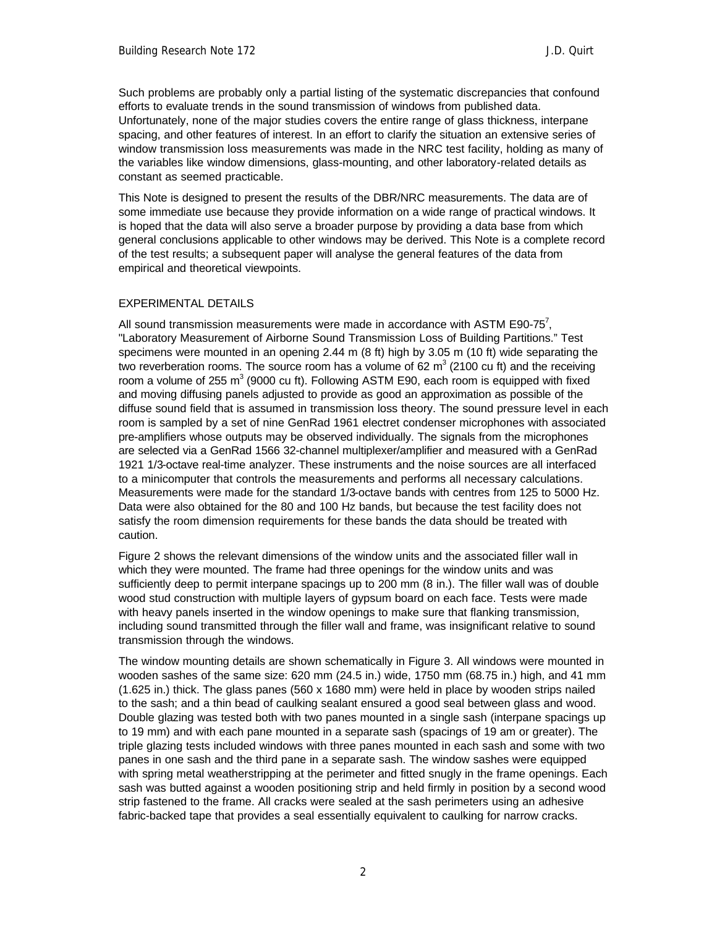Such problems are probably only a partial listing of the systematic discrepancies that confound efforts to evaluate trends in the sound transmission of windows from published data. Unfortunately, none of the major studies covers the entire range of glass thickness, interpane spacing, and other features of interest. In an effort to clarify the situation an extensive series of window transmission loss measurements was made in the NRC test facility, holding as many of the variables like window dimensions, glass-mounting, and other laboratory-related details as constant as seemed practicable.

This Note is designed to present the results of the DBR/NRC measurements. The data are of some immediate use because they provide information on a wide range of practical windows. It is hoped that the data will also serve a broader purpose by providing a data base from which general conclusions applicable to other windows may be derived. This Note is a complete record of the test results; a subsequent paper will analyse the general features of the data from empirical and theoretical viewpoints.

### EXPERIMENTAL DETAILS

All sound transmission measurements were made in accordance with ASTM E90-75<sup>7</sup>, "Laboratory Measurement of Airborne Sound Transmission Loss of Building Partitions." Test specimens were mounted in an opening 2.44 m (8 ft) high by 3.05 m (10 ft) wide separating the two reverberation rooms. The source room has a volume of 62 m<sup>3</sup> (2100 cu ft) and the receiving room a volume of 255 m<sup>3</sup> (9000 cu ft). Following ASTM E90, each room is equipped with fixed and moving diffusing panels adjusted to provide as good an approximation as possible of the diffuse sound field that is assumed in transmission loss theory. The sound pressure level in each room is sampled by a set of nine GenRad 1961 electret condenser microphones with associated pre-amplifiers whose outputs may be observed individually. The signals from the microphones are selected via a GenRad 1566 32-channel multiplexer/amplifier and measured with a GenRad 1921 1/3-octave real-time analyzer. These instruments and the noise sources are all interfaced to a minicomputer that controls the measurements and performs all necessary calculations. Measurements were made for the standard 1/3-octave bands with centres from 125 to 5000 Hz. Data were also obtained for the 80 and 100 Hz bands, but because the test facility does not satisfy the room dimension requirements for these bands the data should be treated with caution.

Figure 2 shows the relevant dimensions of the window units and the associated filler wall in which they were mounted. The frame had three openings for the window units and was sufficiently deep to permit interpane spacings up to 200 mm (8 in.). The filler wall was of double wood stud construction with multiple layers of gypsum board on each face. Tests were made with heavy panels inserted in the window openings to make sure that flanking transmission, including sound transmitted through the filler wall and frame, was insignificant relative to sound transmission through the windows.

The window mounting details are shown schematically in Figure 3. All windows were mounted in wooden sashes of the same size: 620 mm (24.5 in.) wide, 1750 mm (68.75 in.) high, and 41 mm (1.625 in.) thick. The glass panes (560 x 1680 mm) were held in place by wooden strips nailed to the sash; and a thin bead of caulking sealant ensured a good seal between glass and wood. Double glazing was tested both with two panes mounted in a single sash (interpane spacings up to 19 mm) and with each pane mounted in a separate sash (spacings of 19 am or greater). The triple glazing tests included windows with three panes mounted in each sash and some with two panes in one sash and the third pane in a separate sash. The window sashes were equipped with spring metal weatherstripping at the perimeter and fitted snugly in the frame openings. Each sash was butted against a wooden positioning strip and held firmly in position by a second wood strip fastened to the frame. All cracks were sealed at the sash perimeters using an adhesive fabric-backed tape that provides a seal essentially equivalent to caulking for narrow cracks.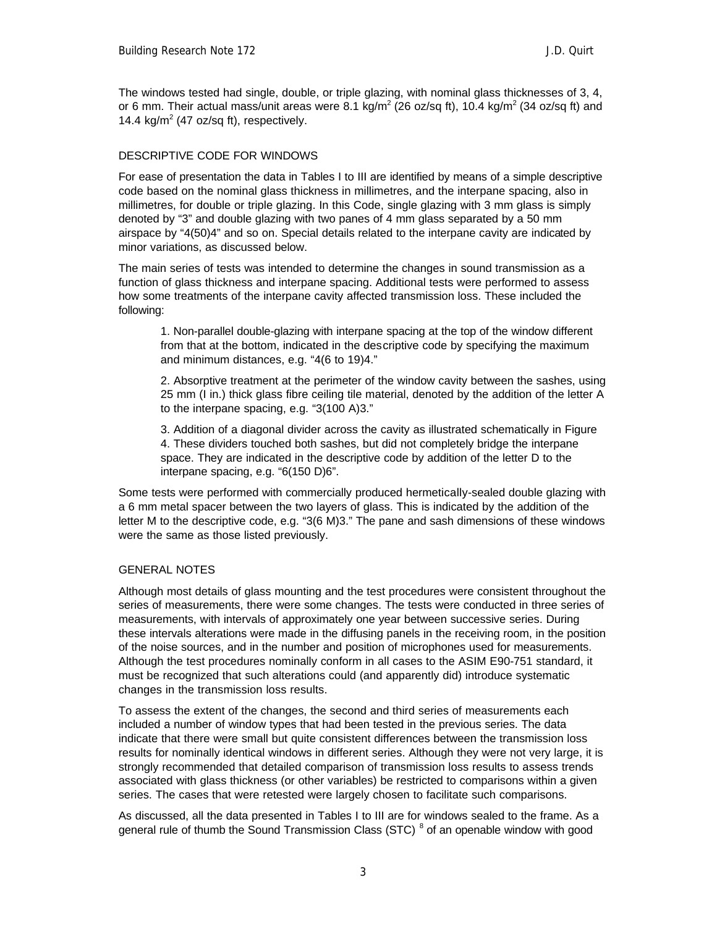The windows tested had single, double, or triple glazing, with nominal glass thicknesses of 3, 4, or 6 mm. Their actual mass/unit areas were 8.1 kg/m<sup>2</sup> (26 oz/sq ft), 10.4 kg/m<sup>2</sup> (34 oz/sq ft) and 14.4  $kg/m^2$  (47 oz/sq ft), respectively.

# DESCRIPTIVE CODE FOR WINDOWS

For ease of presentation the data in Tables I to III are identified by means of a simple descriptive code based on the nominal glass thickness in millimetres, and the interpane spacing, also in millimetres, for double or triple glazing. In this Code, single glazing with 3 mm glass is simply denoted by "3" and double glazing with two panes of 4 mm glass separated by a 50 mm airspace by "4(50)4" and so on. Special details related to the interpane cavity are indicated by minor variations, as discussed below.

The main series of tests was intended to determine the changes in sound transmission as a function of glass thickness and interpane spacing. Additional tests were performed to assess how some treatments of the interpane cavity affected transmission loss. These included the following:

1. Non-parallel double-glazing with interpane spacing at the top of the window different from that at the bottom, indicated in the descriptive code by specifying the maximum and minimum distances, e.g. "4(6 to 19)4."

2. Absorptive treatment at the perimeter of the window cavity between the sashes, using 25 mm (I in.) thick glass fibre ceiling tile material, denoted by the addition of the letter A to the interpane spacing, e.g. "3(100 A)3."

3. Addition of a diagonal divider across the cavity as illustrated schematically in Figure 4. These dividers touched both sashes, but did not completely bridge the interpane space. They are indicated in the descriptive code by addition of the letter D to the interpane spacing, e.g. "6(150 D)6".

Some tests were performed with commercially produced hermetically-sealed double glazing with a 6 mm metal spacer between the two layers of glass. This is indicated by the addition of the letter M to the descriptive code, e.g. "3(6 M)3." The pane and sash dimensions of these windows were the same as those listed previously.

# GENERAL NOTES

Although most details of glass mounting and the test procedures were consistent throughout the series of measurements, there were some changes. The tests were conducted in three series of measurements, with intervals of approximately one year between successive series. During these intervals alterations were made in the diffusing panels in the receiving room, in the position of the noise sources, and in the number and position of microphones used for measurements. Although the test procedures nominally conform in all cases to the ASIM E90-751 standard, it must be recognized that such alterations could (and apparently did) introduce systematic changes in the transmission loss results.

To assess the extent of the changes, the second and third series of measurements each included a number of window types that had been tested in the previous series. The data indicate that there were small but quite consistent differences between the transmission loss results for nominally identical windows in different series. Although they were not very large, it is strongly recommended that detailed comparison of transmission loss results to assess trends associated with glass thickness (or other variables) be restricted to comparisons within a given series. The cases that were retested were largely chosen to facilitate such comparisons.

As discussed, all the data presented in Tables I to III are for windows sealed to the frame. As a general rule of thumb the Sound Transmission Class (STC)<sup>8</sup> of an openable window with good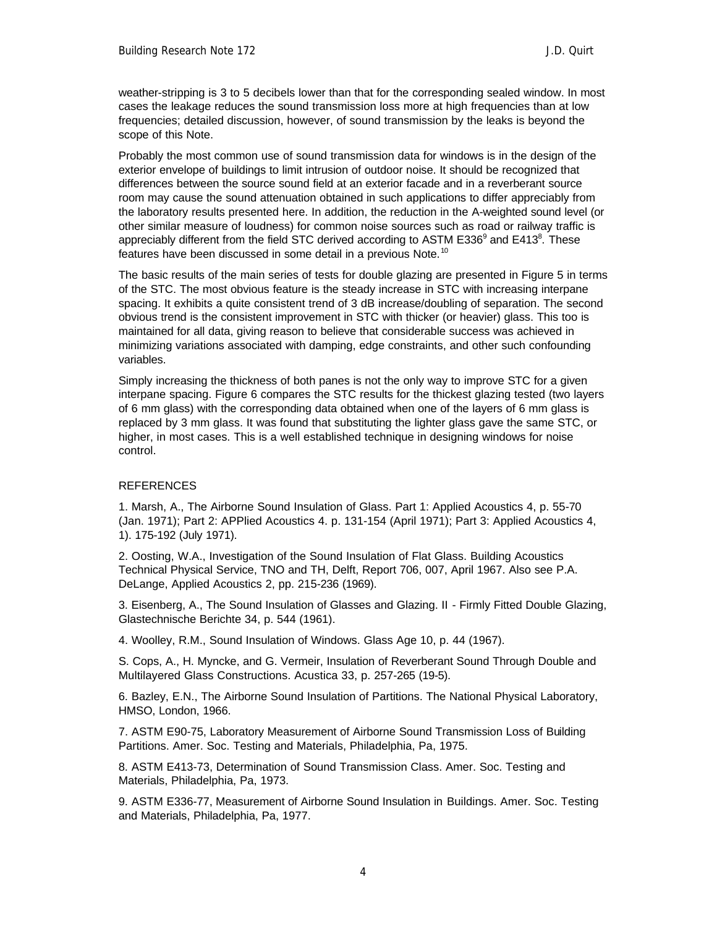weather-stripping is 3 to 5 decibels lower than that for the corresponding sealed window. In most cases the leakage reduces the sound transmission loss more at high frequencies than at low frequencies; detailed discussion, however, of sound transmission by the leaks is beyond the scope of this Note.

Probably the most common use of sound transmission data for windows is in the design of the exterior envelope of buildings to limit intrusion of outdoor noise. It should be recognized that differences between the source sound field at an exterior facade and in a reverberant source room may cause the sound attenuation obtained in such applications to differ appreciably from the laboratory results presented here. In addition, the reduction in the A-weighted sound level (or other similar measure of loudness) for common noise sources such as road or railway traffic is appreciably different from the field STC derived according to ASTM E336<sup>9</sup> and E413<sup>8</sup>. These features have been discussed in some detail in a previous Note.<sup>10</sup>

The basic results of the main series of tests for double glazing are presented in Figure 5 in terms of the STC. The most obvious feature is the steady increase in STC with increasing interpane spacing. It exhibits a quite consistent trend of 3 dB increase/doubling of separation. The second obvious trend is the consistent improvement in STC with thicker (or heavier) glass. This too is maintained for all data, giving reason to believe that considerable success was achieved in minimizing variations associated with damping, edge constraints, and other such confounding variables.

Simply increasing the thickness of both panes is not the only way to improve STC for a given interpane spacing. Figure 6 compares the STC results for the thickest glazing tested (two layers of 6 mm glass) with the corresponding data obtained when one of the layers of 6 mm glass is replaced by 3 mm glass. It was found that substituting the lighter glass gave the same STC, or higher, in most cases. This is a well established technique in designing windows for noise control.

# **REFERENCES**

1. Marsh, A., The Airborne Sound Insulation of Glass. Part 1: Applied Acoustics 4, p. 55-70 (Jan. 1971); Part 2: APPlied Acoustics 4. p. 131-154 (April 1971); Part 3: Applied Acoustics 4, 1). 175-192 (July 1971).

2. Oosting, W.A., Investigation of the Sound Insulation of Flat Glass. Building Acoustics Technical Physical Service, TNO and TH, Delft, Report 706, 007, April 1967. Also see P.A. DeLange, Applied Acoustics 2, pp. 215-236 (1969).

3. Eisenberg, A., The Sound Insulation of Glasses and Glazing. II - Firmly Fitted Double Glazing, Glastechnische Berichte 34, p. 544 (1961).

4. Woolley, R.M., Sound Insulation of Windows. Glass Age 10, p. 44 (1967).

S. Cops, A., H. Myncke, and G. Vermeir, Insulation of Reverberant Sound Through Double and Multilayered Glass Constructions. Acustica 33, p. 257-265 (19-5).

6. Bazley, E.N., The Airborne Sound Insulation of Partitions. The National Physical Laboratory, HMSO, London, 1966.

7. ASTM E90-75, Laboratory Measurement of Airborne Sound Transmission Loss of Building Partitions. Amer. Soc. Testing and Materials, Philadelphia, Pa, 1975.

8. ASTM E413-73, Determination of Sound Transmission Class. Amer. Soc. Testing and Materials, Philadelphia, Pa, 1973.

9. ASTM E336-77, Measurement of Airborne Sound Insulation in Buildings. Amer. Soc. Testing and Materials, Philadelphia, Pa, 1977.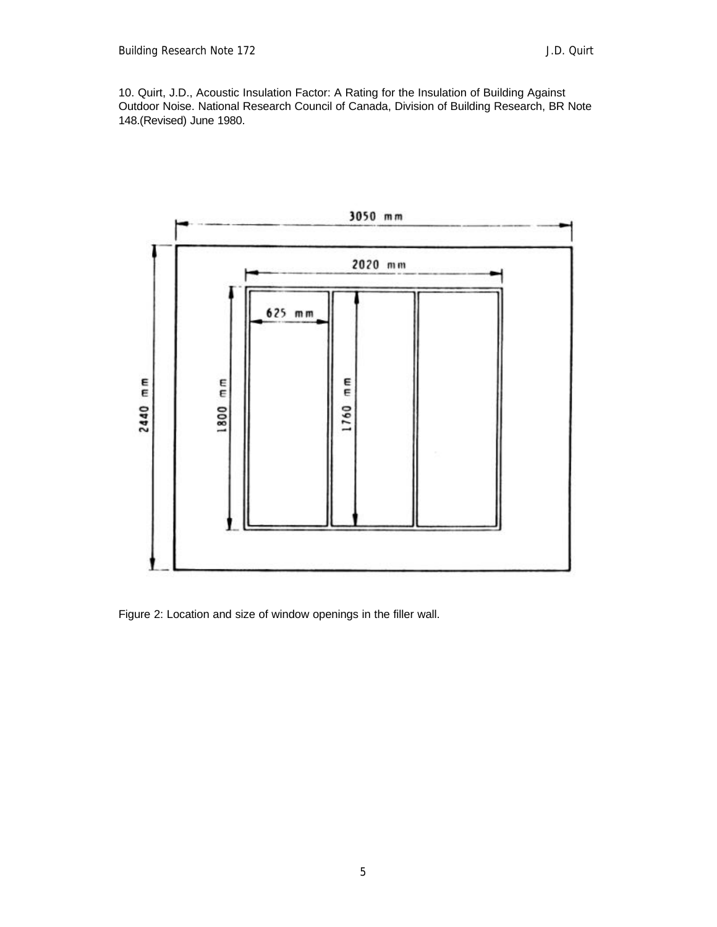10. Quirt, J.D., Acoustic Insulation Factor: A Rating for the Insulation of Building Against Outdoor Noise. National Research Council of Canada, Division of Building Research, BR Note 148.(Revised) June 1980.



Figure 2: Location and size of window openings in the filler wall.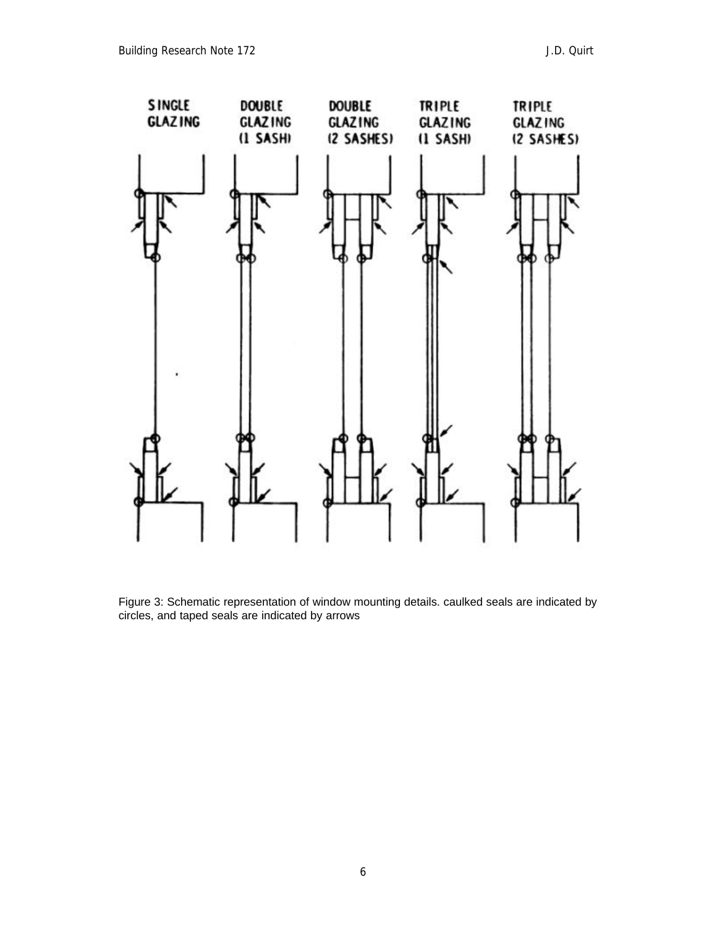

Figure 3: Schematic representation of window mounting details. caulked seals are indicated by circles, and taped seals are indicated by arrows